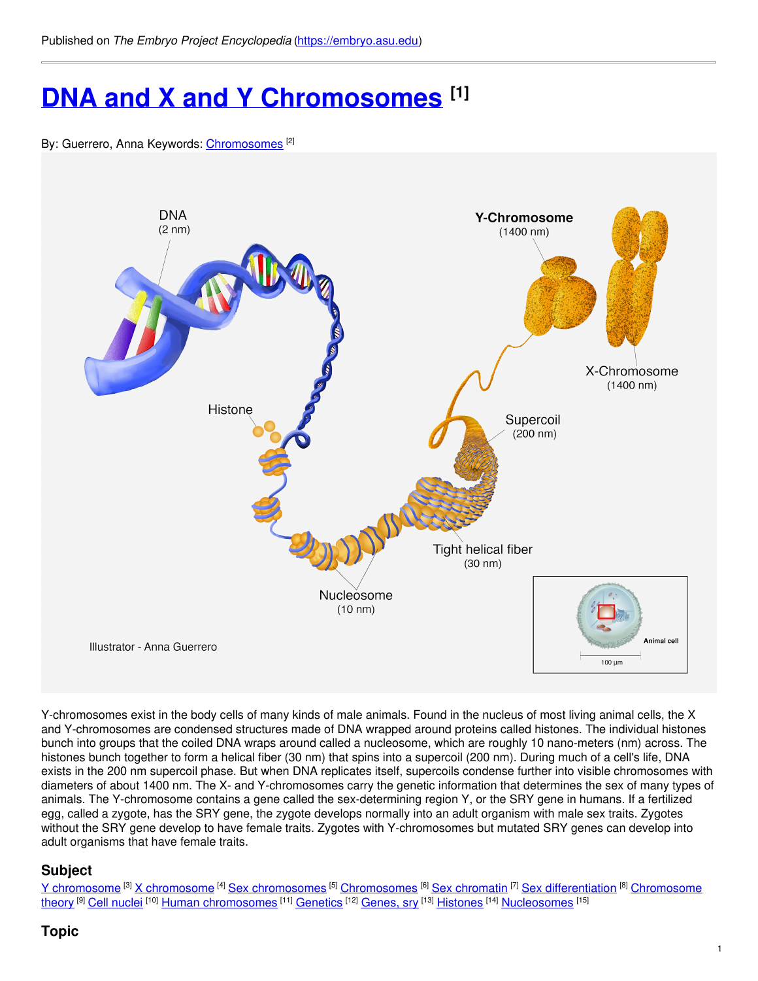# **DNA and X and Y [Chromosomes](https://embryo.asu.edu/pages/dna-and-x-and-y-chromosomes) [1]**

#### By: Guerrero, Anna Keywords: [Chromosomes](https://embryo.asu.edu/keywords/chromosomes) [2]



Y-chromosomes exist in the body cells of many kinds of male animals. Found in the nucleus of most living animal cells, the X and Y-chromosomes are condensed structures made of DNA wrapped around proteins called histones. The individual histones bunch into groups that the coiled DNA wraps around called a nucleosome, which are roughly 10 nano-meters (nm) across. The histones bunch together to form a helical fiber (30 nm) that spins into a supercoil (200 nm). During much of a cell's life, DNA exists in the 200 nm supercoil phase. But when DNA replicates itself, supercoils condense further into visible chromosomes with diameters of about 1400 nm. The X- and Y-chromosomes carry the genetic information that determines the sex of many types of animals. The Y-chromosome contains a gene called the sex-determining region Y, or the SRY gene in humans. If a fertilized egg, called a zygote, has the SRY gene, the zygote develops normally into an adult organism with male sex traits. Zygotes without the SRY gene develop to have female traits. Zygotes with Y-chromosomes but mutated SRY genes can develop into adult organisms that have female traits.

# **Subject**

Y [chromosome](https://embryo.asu.edu/library-congress-subject-headings/x-chromosome) <sup>[3]</sup> X chromosome <sup>[4]</sup> Sex [chromosomes](https://embryo.asu.edu/library-congress-subject-headings/sex-chromosomes) <sup>[5]</sup> [Chromosomes](https://embryo.asu.edu/library-congress-subject-headings/chromosome-theory) <sup>[6]</sup> Sex [chromatin](https://embryo.asu.edu/library-congress-subject-headings/sex-chromatin) <sup>[7]</sup> Sex [differentiation](https://embryo.asu.edu/library-congress-subject-headings/sex-differentiation) <sup>[8]</sup> Chromosome <u>theory <sup>[9]</sup> Cell [nuclei](https://embryo.asu.edu/library-congress-subject-headings/cell-nuclei) <sup>[10]</sup> Human [chromosomes](https://embryo.asu.edu/library-congress-subject-headings/human-chromosomes) <sup>[11]</sup> [Genetics](https://embryo.asu.edu/library-congress-subject-headings/genetics) <sup>[12]</sup> [Genes,](https://embryo.asu.edu/medical-subject-headings/genes-sry) sry <sup>[13]</sup> [Histones](https://embryo.asu.edu/medical-subject-headings/histones) <sup>[14]</sup> [Nucleosomes](https://embryo.asu.edu/medical-subject-headings/nucleosomes) <sup>[15]</sup></u>